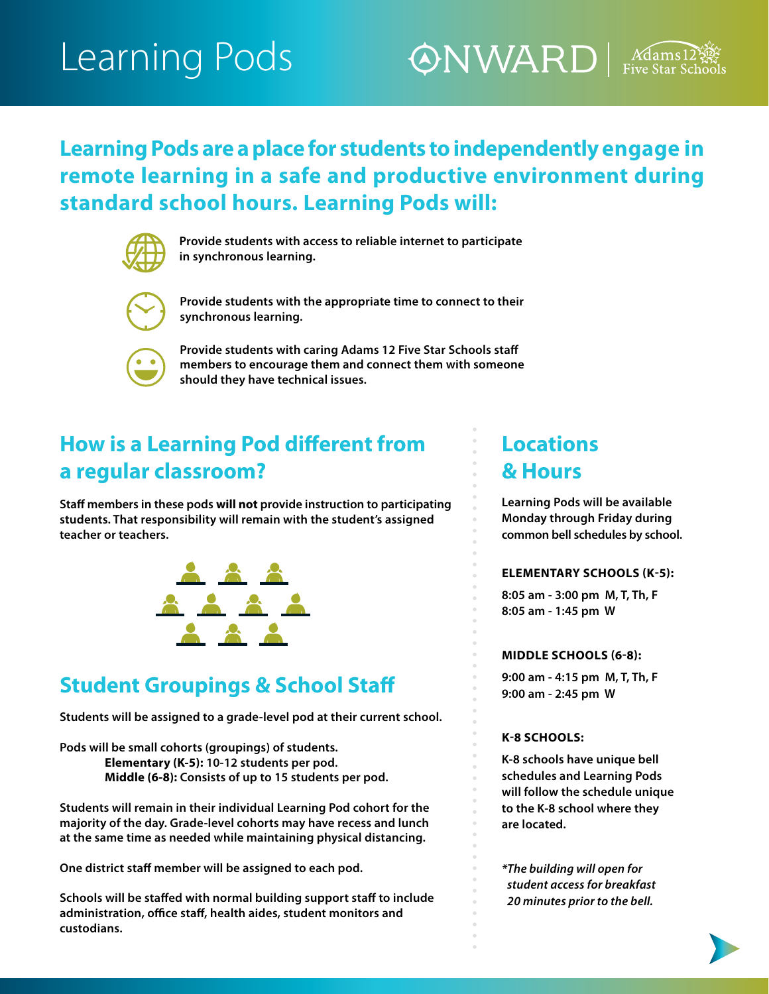# Learning Pods

## $\oslash$ NWARD  $\left|\right.$  Mams1

### **Learning Pods are a place for students to independently engage in remote learning in a safe and productive environment during standard school hours. Learning Pods will:**



**Provide students with access to reliable internet to participate in synchronous learning.**



**Provide students with the appropriate time to connect to their synchronous learning.**



**Provide students with caring Adams 12 Five Star Schools staff members to encourage them and connect them with someone should they have technical issues.** 

## **How is a Learning Pod different from a regular classroom?**

**Staff members in these pods will not provide instruction to participating students. That responsibility will remain with the student's assigned teacher or teachers.**



## **Student Groupings & School Staff**

**Students will be assigned to a grade-level pod at their current school.**

**Pods will be small cohorts (groupings) of students. Elementary (K-5): 10-12 students per pod. Middle (6-8): Consists of up to 15 students per pod.** 

**Students will remain in their individual Learning Pod cohort for the majority of the day. Grade-level cohorts may have recess and lunch at the same time as needed while maintaining physical distancing.** 

**One district staff member will be assigned to each pod.**

**Schools will be staffed with normal building support staff to include administration, office staff, health aides, student monitors and custodians.**

### **Locations & Hours**

**Learning Pods will be available Monday through Friday during common bell schedules by school.** 

### **ELEMENTARY SCHOOLS (K-5):**

**8:05 am - 3:00 pm M, T, Th, F 8:05 am - 1:45 pm W**

### **MIDDLE SCHOOLS (6-8):**

**9:00 am - 4:15 pm M, T, Th, F 9:00 am - 2:45 pm W**

### **K-8 SCHOOLS:**

**K-8 schools have unique bell schedules and Learning Pods will follow the schedule unique to the K-8 school where they are located.** 

*\*The building will open for student access for breakfast 20 minutes prior to the bell.*